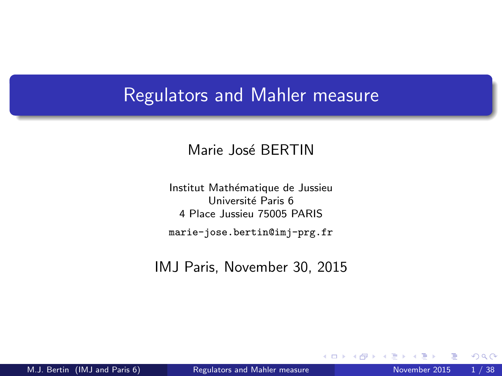## Regulators and Mahler measure

#### Marie José BERTIN

Institut Mathématique de Jussieu Université Paris 6 4 Place Jussieu 75005 PARIS marie-jose.bertin@imj-prg.fr

IMJ Paris, November 30, 2015

4 D F

<span id="page-0-0"></span> $QQ$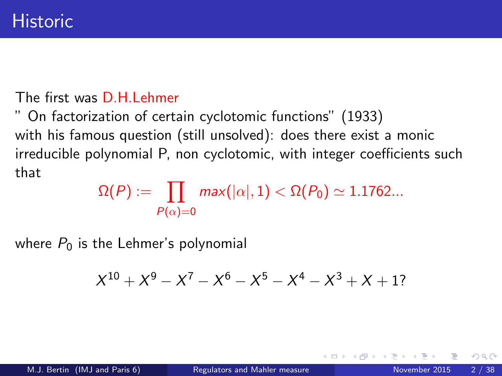#### The first was D.H.Lehmer

" On factorization of certain cyclotomic functions" (1933) with his famous question (still unsolved): does there exist a monic irreducible polynomial P, non cyclotomic, with integer coefficients such that

> $\Omega(P) := \prod \; \; \textit{max}(|\alpha|, 1) < \Omega(P_0) \simeq 1.1762...$  $P(\alpha)=0$

where  $P_0$  is the Lehmer's polynomial

$$
X^{10} + X^9 - X^7 - X^6 - X^5 - X^4 - X^3 + X + 1?
$$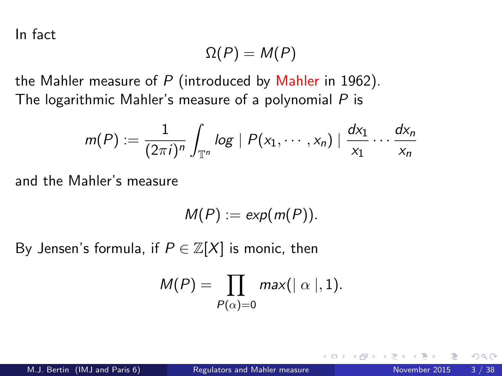In fact

$$
\Omega(P)=M(P)
$$

the Mahler measure of  $P$  (introduced by Mahler in 1962). The logarithmic Mahler's measure of a polynomial  $P$  is

$$
m(P) := \frac{1}{(2\pi i)^n} \int_{\mathbb{T}^n} \log |P(x_1,\dots,x_n)| \frac{dx_1}{x_1} \dots \frac{dx_n}{x_n}
$$

and the Mahler's measure

$$
M(P):=\exp(m(P)).
$$

By Jensen's formula, if  $P \in \mathbb{Z}[X]$  is monic, then

$$
M(P) = \prod_{P(\alpha) = 0} max(|\alpha|, 1).
$$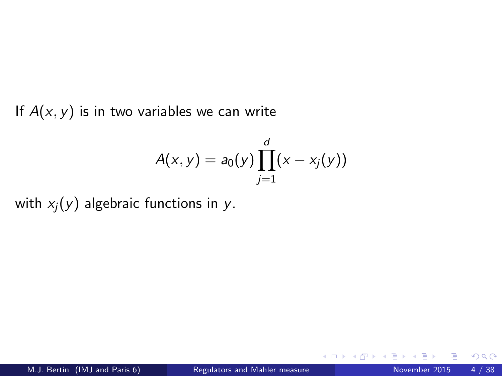If  $A(x, y)$  is in two variables we can write

$$
A(x, y) = a_0(y) \prod_{j=1}^d (x - x_j(y))
$$

with  $x_i(y)$  algebraic functions in y.

4 0 8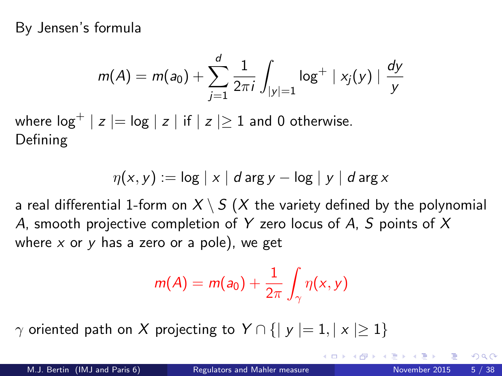By Jensen's formula

$$
m(A) = m(a_0) + \sum_{j=1}^{d} \frac{1}{2\pi i} \int_{|y|=1} \log^+ |x_j(y)| \frac{dy}{y}
$$

where  $\log^+ | z | = \log | z |$  if  $| z | \ge 1$  and 0 otherwise. Defining

$$
\eta(x, y) := \log |x| \, d \arg y - \log |y| \, d \arg x
$$

a real differential 1-form on  $X \setminus S$  (X the variety defined by the polynomial A, smooth projective completion of Y zero locus of A, S points of X where  $x$  or  $y$  has a zero or a pole), we get

$$
m(A) = m(a_0) + \frac{1}{2\pi} \int_{\gamma} \eta(x, y)
$$

 $\gamma$  oriented path on X projecting to  $Y \cap \{ |y| = 1, |x| \geq 1 \}$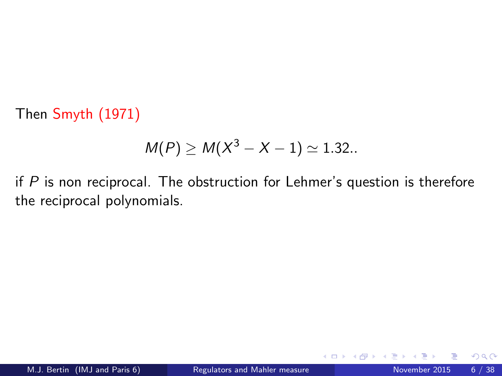Then Smyth (1971)

$$
M(P) \ge M(X^3 - X - 1) \approx 1.32...
$$

if  $P$  is non reciprocal. The obstruction for Lehmer's question is therefore the reciprocal polynomials.

 $\leftarrow$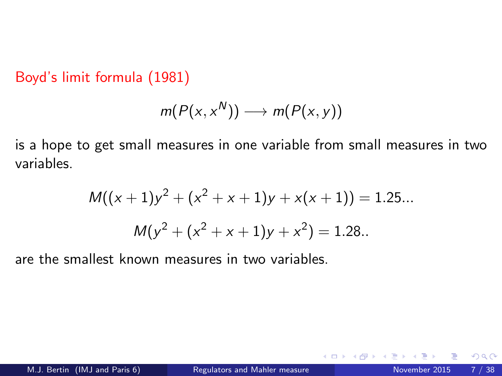Boyd's limit formula (1981)

$$
m(P(x, x^N)) \longrightarrow m(P(x, y))
$$

is a hope to get small measures in one variable from small measures in two variables.

$$
M((x + 1)y2 + (x2 + x + 1)y + x(x + 1)) = 1.25...
$$

$$
M(y2 + (x2 + x + 1)y + x2) = 1.28...
$$

are the smallest known measures in two variables.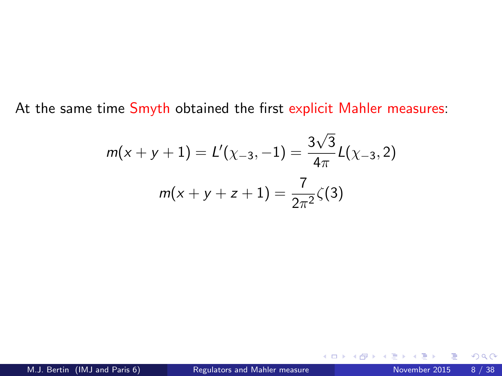At the same time Smyth obtained the first explicit Mahler measures:

$$
m(x + y + 1) = L'(\chi_{-3}, -1) = \frac{3\sqrt{3}}{4\pi}L(\chi_{-3}, 2)
$$

$$
m(x + y + z + 1) = \frac{7}{2\pi^2}\zeta(3)
$$

4 0 8 4

**STAR**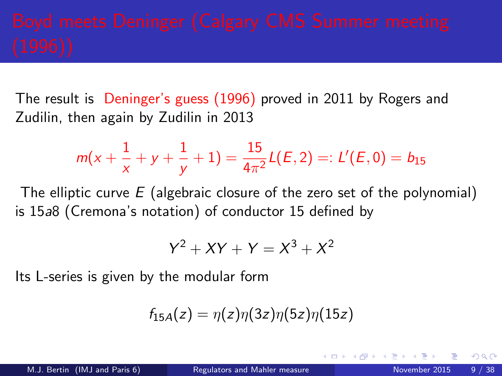The result is Deninger's guess (1996) proved in 2011 by Rogers and Zudilin, then again by Zudilin in 2013

$$
m(x+\frac{1}{x}+y+\frac{1}{y}+1)=\frac{15}{4\pi^2}L(E,2)=:L'(E,0)=b_{15}
$$

The elliptic curve  $E$  (algebraic closure of the zero set of the polynomial) is 15a8 (Cremona's notation) of conductor 15 defined by

$$
Y^2 + XY + Y = X^3 + X^2
$$

Its L-series is given by the modular form

$$
f_{15A}(z)=\eta(z)\eta(3z)\eta(5z)\eta(15z)
$$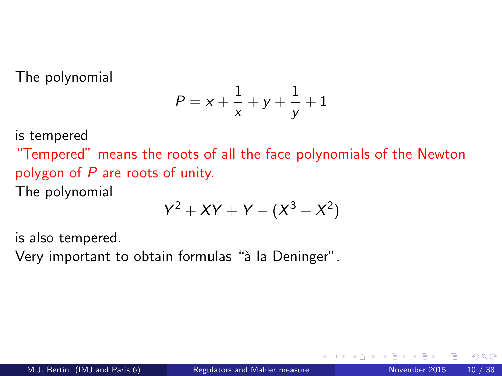The polynomial

$$
P=x+\frac{1}{x}+y+\frac{1}{y}+1
$$

is tempered

"Tempered" means the roots of all the face polynomials of the Newton polygon of P are roots of unity.

The polynomial

$$
Y^2+XY+Y-(X^3+X^2)\\
$$

is also tempered.

Very important to obtain formulas "à la Deninger".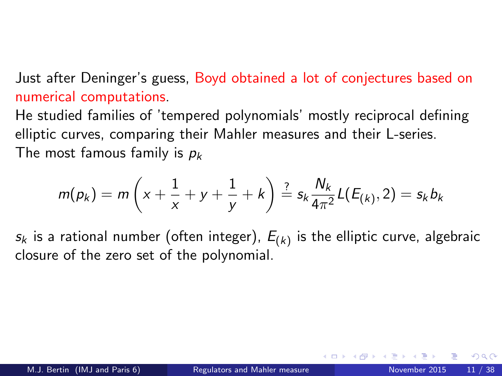### Just after Deninger's guess, Boyd obtained a lot of conjectures based on numerical computations.

He studied families of 'tempered polynomials' mostly reciprocal defining elliptic curves, comparing their Mahler measures and their L-series. The most famous family is  $p_k$ 

$$
m(p_k) = m\left(x + \frac{1}{x} + y + \frac{1}{y} + k\right) \stackrel{?}{=} s_k \frac{N_k}{4\pi^2} L(E_{(k)}, 2) = s_k b_k
$$

 $\varsigma_{k}$  is a rational number (often integer),  $E_{(k)}$  is the elliptic curve, algebraic closure of the zero set of the polynomial.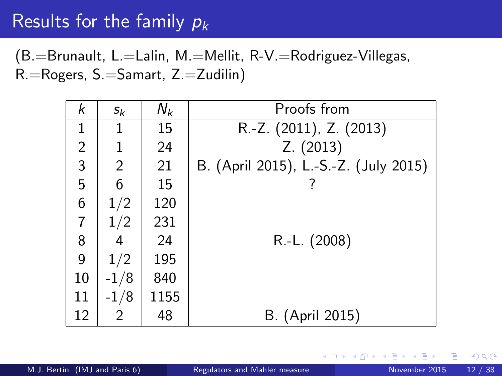# Results for the family  $p_k$

(B.=Brunault, L.=Lalin, M.=Mellit, R-V.=Rodriguez-Villegas, R.=Rogers, S.=Samart, Z.=Zudilin)

| k              | $S_k$  | $N_k$ | Proofs from                           |  |  |
|----------------|--------|-------|---------------------------------------|--|--|
| 1              | 1      | 15    | $\overline{R}$ -Z. (2011), Z. (2013)  |  |  |
| $\overline{2}$ | 1      | 24    | Z. (2013)                             |  |  |
| 3              | 2      | 21    | B. (April 2015), L.-S.-Z. (July 2015) |  |  |
| 5              | 6      | 15    |                                       |  |  |
| 6              | 1/2    | 120   |                                       |  |  |
| $\overline{7}$ | 1/2    | 231   |                                       |  |  |
| 8              | 4      | 24    | R.-L. (2008)                          |  |  |
| 9              | 1/2    | 195   |                                       |  |  |
| 10             | $-1/8$ | 840   |                                       |  |  |
| 11             | $-1/8$ | 1155  |                                       |  |  |
| 12             | 2      | 48    | B. (April 2015)                       |  |  |

4 D F

 $QQ$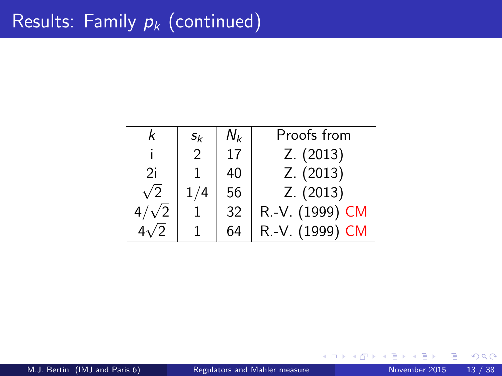|               | $s_k$         | Νı | Proofs from     |
|---------------|---------------|----|-----------------|
|               | $\mathcal{P}$ | 17 | Z. (2013)       |
| 2i            |               | 40 | Z. (2013)       |
| $\sqrt{2}$    |               | 56 | Z. (2013)       |
| $^{\prime}$ 2 |               | 32 | R.-V. (1999) CM |
|               |               | 64 | R.-V. (1999) CM |

4 0 8

 $\rightarrow$ 

э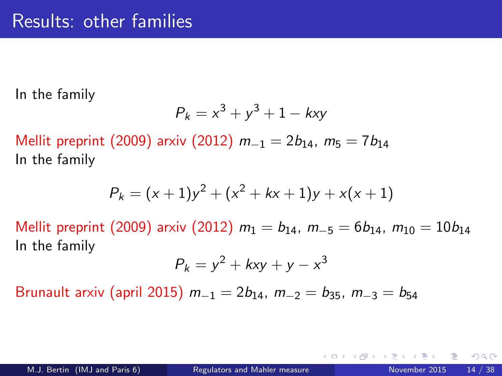In the family

$$
P_k = x^3 + y^3 + 1 - kxy
$$

Mellit preprint (2009) arxiv (2012)  $m_{-1} = 2b_{14}$ ,  $m_5 = 7b_{14}$ In the family

$$
P_k = (x + 1)y^2 + (x^2 + kx + 1)y + x(x + 1)
$$

Mellit preprint (2009) arxiv (2012)  $m_1 = b_{14}$ ,  $m_{-5} = 6b_{14}$ ,  $m_{10} = 10b_{14}$ In the family

$$
P_k = y^2 + kxy + y - x^3
$$

Brunault arxiv (april 2015)  $m_{-1} = 2b_{14}$ ,  $m_{-2} = b_{35}$ ,  $m_{-3} = b_{54}$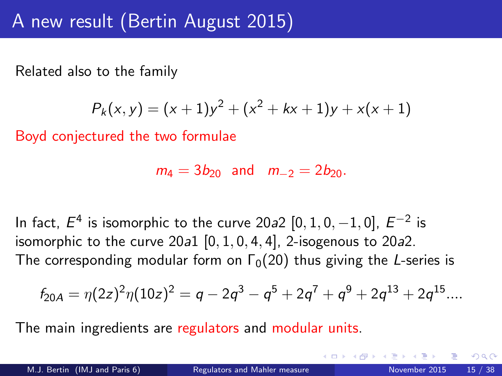Related also to the family

$$
P_k(x, y) = (x + 1)y^2 + (x^2 + kx + 1)y + x(x + 1)
$$

Boyd conjectured the two formulae

$$
m_4 = 3b_{20}
$$
 and  $m_{-2} = 2b_{20}$ .

In fact,  $E^4$  is isomorphic to the curve 20*a*2  $[0,1,0,-1,0]$ ,  $E^{-2}$  is isomorphic to the curve  $20a1$   $[0, 1, 0, 4, 4]$ , 2-isogenous to  $20a2$ . The corresponding modular form on  $\Gamma_0(20)$  thus giving the L-series is

$$
f_{20A} = \eta(2z)^2 \eta(10z)^2 = q - 2q^3 - q^5 + 2q^7 + q^9 + 2q^{13} + 2q^{15} \dots
$$

The main ingredients are regulators and modular units.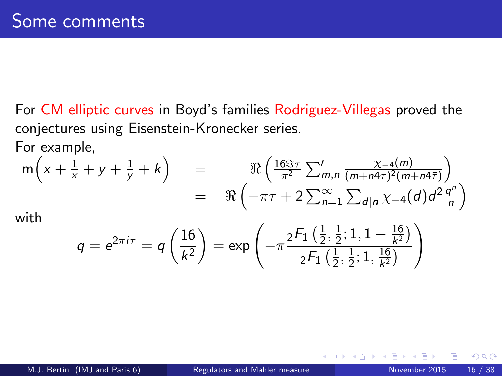For CM elliptic curves in Boyd's families Rodriguez-Villegas proved the conjectures using Eisenstein-Kronecker series. For example,

$$
m(x + \frac{1}{x} + y + \frac{1}{y} + k) = \Re\left(\frac{16\Im\tau}{\pi^2} \sum_{m,n}^{\prime} \frac{\chi_{-4}(m)}{(m+n4\tau)^2(m+n4\overline{\tau})}\right)
$$
  
=  $\Re\left(-\pi\tau + 2\sum_{n=1}^{\infty} \sum_{d|n}^{\infty} \chi_{-4}(d)d^2\frac{q^n}{n}\right)$ 

with

$$
q = e^{2\pi i \tau} = q\left(\frac{16}{k^2}\right) = \text{exp}\left(-\pi \frac{{}_2F_1\left(\frac{1}{2},\frac{1}{2};1,1-\frac{16}{k^2}\right)}{{}_2F_1\left(\frac{1}{2},\frac{1}{2};1,\frac{16}{k^2}\right)}\right)
$$

4 0 8

D.

 $QQ$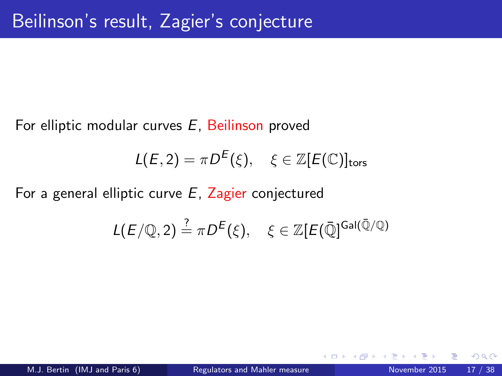For elliptic modular curves E, Beilinson proved

$$
L(E,2) = \pi D^{E}(\xi), \quad \xi \in \mathbb{Z}[E(\mathbb{C})]_{\text{tors}}
$$

For a general elliptic curve  $E$ , Zagier conjectured

$$
L(E/\mathbb{Q},2) \stackrel{?}{=} \pi D^{E}(\xi), \quad \xi \in \mathbb{Z}[E(\bar{\mathbb{Q}})^{\text{Gal}(\bar{\mathbb{Q}}/\mathbb{Q})}
$$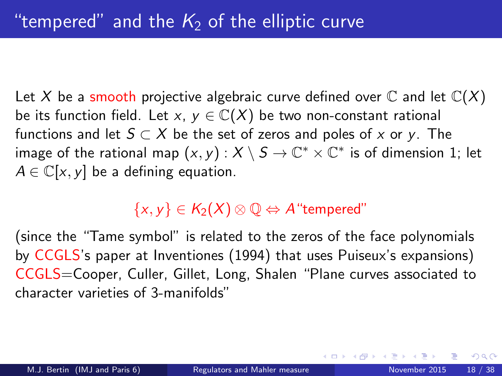Let X be a smooth projective algebraic curve defined over  $\mathbb C$  and let  $\mathbb C(X)$ be its function field. Let x,  $y \in \mathbb{C}(X)$  be two non-constant rational functions and let  $S \subset X$  be the set of zeros and poles of x or y. The image of the rational map  $(x,y): X\setminus S \to \mathbb{C}^* \times \mathbb{C}^*$  is of dimension 1; let  $A \in \mathbb{C}[x, y]$  be a defining equation.

## $\{x, y\} \in K_2(X) \otimes \mathbb{Q} \Leftrightarrow A$  "tempered"

(since the "Tame symbol" is related to the zeros of the face polynomials by CCGLS's paper at Inventiones (1994) that uses Puiseux's expansions) CCGLS=Cooper, Culler, Gillet, Long, Shalen "Plane curves associated to character varieties of 3-manifolds"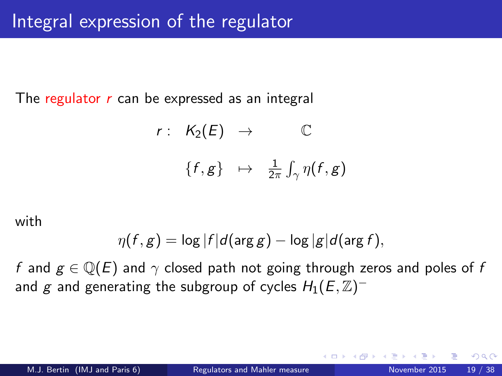The regulator  $r$  can be expressed as an integral

$$
r: K_2(E) \rightarrow \mathbb{C}
$$
  

$$
\{f, g\} \mapsto \frac{1}{2\pi} \int_{\gamma} \eta(f, g)
$$

with

$$
\eta(f,g) = \log |f| d(\arg g) - \log |g| d(\arg f),
$$

f and  $g \in \mathbb{Q}(E)$  and  $\gamma$  closed path not going through zeros and poles of f and  $g$  and generating the subgroup of cycles  $H_1(E,\mathbb{Z})^+$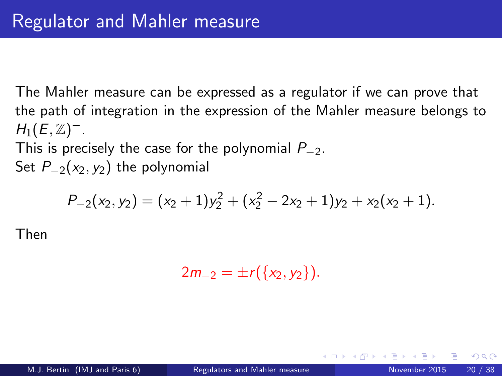The Mahler measure can be expressed as a regulator if we can prove that the path of integration in the expression of the Mahler measure belongs to  $H_1(E,\mathbb{Z})^-$ .

This is precisely the case for the polynomial  $P_{-2}$ .

Set  $P_{-2}(x_2, y_2)$  the polynomial

$$
P_{-2}(x_2, y_2) = (x_2 + 1)y_2^2 + (x_2^2 - 2x_2 + 1)y_2 + x_2(x_2 + 1).
$$

Then

$$
2m_{-2}=\pm r(\{x_2,y_2\}).
$$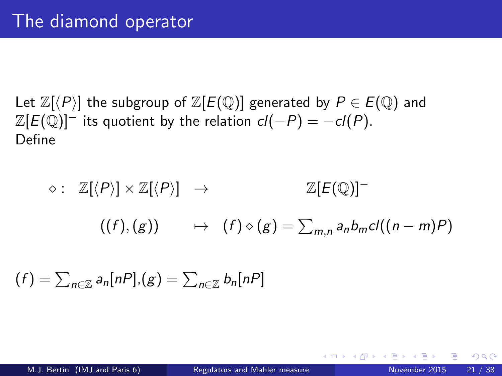Let  $\mathbb{Z}[\langle P \rangle]$  the subgroup of  $\mathbb{Z}[E(\mathbb{Q})]$  generated by  $P \in E(\mathbb{Q})$  and  $\mathbb{Z}[E(\mathbb{Q})]^-$  its quotient by the relation  $cl(-P) = -cl(P)$ . Define

 $\diamond: \mathbb{Z}[\langle P \rangle] \times \mathbb{Z}[\langle P \rangle] \rightarrow \mathbb{Z}[E(\mathbb{Q})]^{-1}$  $((f),(g)) \rightarrow (f) \diamond (g) = \sum_{m,n} a_n b_m cl((n-m)P)$ 

$$
(f) = \sum_{n \in \mathbb{Z}} a_n [nP], (g) = \sum_{n \in \mathbb{Z}} b_n [nP]
$$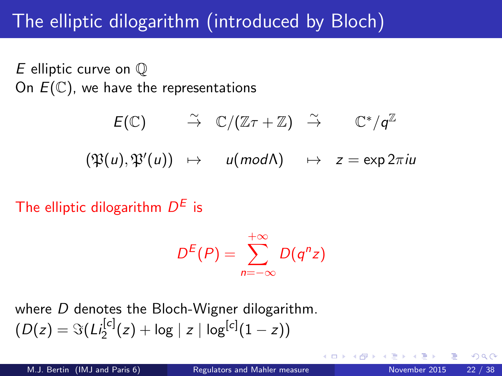# The elliptic dilogarithm (introduced by Bloch)

E elliptic curve on Q On  $E(\mathbb{C})$ , we have the representations

$$
E(\mathbb{C}) \qquad \overset{\sim}{\to} \quad \mathbb{C}/(\mathbb{Z}\tau + \mathbb{Z}) \quad \overset{\sim}{\to} \qquad \mathbb{C}^*/q^{\mathbb{Z}}
$$

$$
(\mathfrak{P}(u), \mathfrak{P}'(u)) \quad \mapsto \quad u \pmod{\Lambda} \qquad \mapsto \quad z = \exp 2\pi i u
$$

The elliptic dilogarithm  $D^E$  is

$$
D^{E}(P)=\sum_{n=-\infty}^{+\infty}D(q^{n}z)
$$

where D denotes the Bloch-Wigner dilogarithm.  $(D(z) = \Im(L_2^{[c]}(z) + \log |z| \log^{[c]}(1-z))$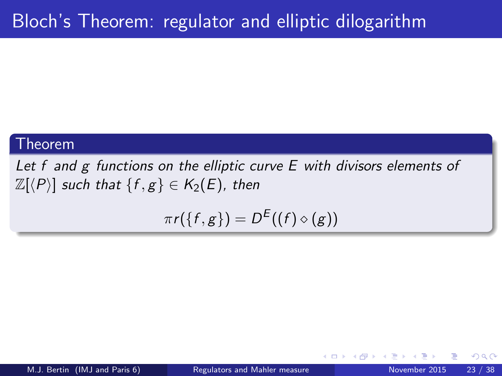#### Theorem

Let f and g functions on the elliptic curve E with divisors elements of  $\mathbb{Z}[\langle P \rangle]$  such that  $\{f, g\} \in K_2(E)$ , then

$$
\pi r(\{f,g\})=D^{E}((f)\diamond (g))
$$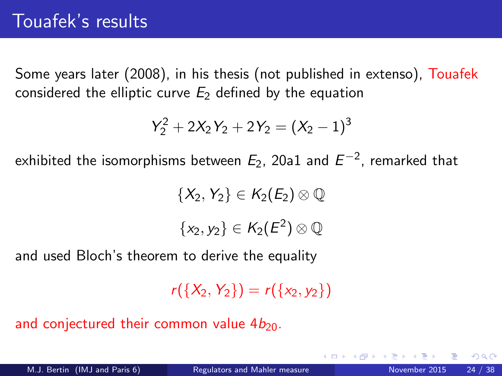Some years later (2008), in his thesis (not published in extenso), Touafek considered the elliptic curve  $E_2$  defined by the equation

$$
Y_2^2 + 2X_2Y_2 + 2Y_2 = (X_2 - 1)^3
$$

exhibited the isomorphisms between  $E_2$ , 20a1 and  $E^{\rm -2}$ , remarked that

 $\{X_2, Y_2\} \in K_2(E_2) \otimes \mathbb{Q}$ 

 $\{x_2,y_2\}\in \mathcal{K}_2(E^2)\otimes \mathbb{Q}$ 

and used Bloch's theorem to derive the equality

 $r({X_2, Y_2}) = r({X_2, Y_2})$ 

and conjectured their common value  $4b_{20}$ .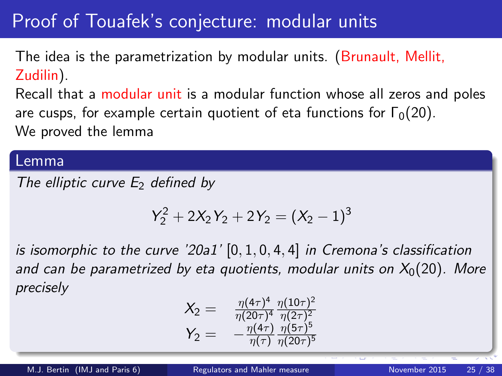# Proof of Touafek's conjecture: modular units

The idea is the parametrization by modular units. (Brunault, Mellit, Zudilin).

Recall that a modular unit is a modular function whose all zeros and poles are cusps, for example certain quotient of eta functions for  $\Gamma_0(20)$ . We proved the lemma

#### Lemma

The elliptic curve  $E_2$  defined by

$$
Y_2^2 + 2X_2Y_2 + 2Y_2 = (X_2 - 1)^3
$$

is isomorphic to the curve '20a1'  $[0, 1, 0, 4, 4]$  in Cremona's classification and can be parametrized by eta quotients, modular units on  $X_0(20)$ . More precisely

$$
X_2 = \frac{\eta(4\tau)^4}{\eta(20\tau)^4} \frac{\eta(10\tau)^2}{\eta(2\tau)^2}
$$
  

$$
Y_2 = -\frac{\eta(4\tau)}{\eta(\tau)} \frac{\eta(5\tau)^5}{\eta(20\tau)^5}
$$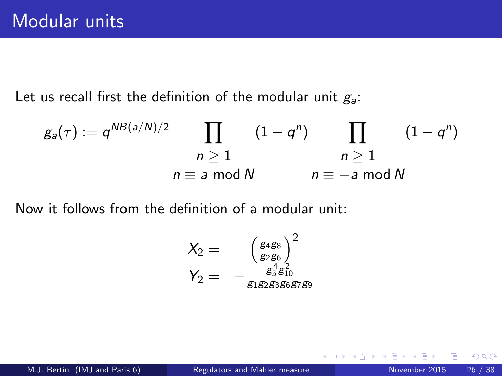Let us recall first the definition of the modular unit  $g_a$ :

$$
g_a(\tau) := q^{NB(a/N)/2} \prod_{\substack{n \geq 1 \\ n \equiv a \bmod N}} (1 - q^n) \prod_{\substack{n \geq 1 \\ n \equiv -a \bmod N}} (1 - q^n)
$$

Now it follows from the definition of a modular unit:

$$
\begin{array}{rcl}\nX_2 &=& \left(\frac{g_4 g_8}{g_2 g_6}\right)^2 \\
Y_2 &=& -\frac{g_5^4 g_{10}^2}{g_1 g_2 g_3 g_6 g_7 g_9}\n\end{array}
$$

4 0 8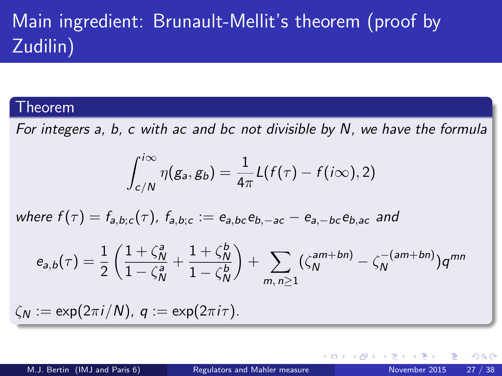# Main ingredient: Brunault-Mellit's theorem (proof by Zudilin)

#### Theorem

For integers a, b, c with ac and bc not divisible by N, we have the formula

<span id="page-26-0"></span>
$$
\int_{c/N}^{i\infty} \eta(g_a, g_b) = \frac{1}{4\pi} L(f(\tau) - f(i\infty), 2)
$$

where  $f(\tau) = f_{a,b;c}(\tau)$ ,  $f_{a,b;c} := e_{a,bc}e_{b,-ac} - e_{a,-bc}e_{b,ac}$  and

$$
e_{a,b}(\tau) = \frac{1}{2} \left( \frac{1 + \zeta_N^a}{1 - \zeta_N^a} + \frac{1 + \zeta_N^b}{1 - \zeta_N^b} \right) + \sum_{m, n \ge 1} (\zeta_N^{am + bn}) - \zeta_N^{-(am + bn)} q^{mn}
$$

 $\zeta_N := \exp(2\pi i/N), \ q := \exp(2\pi i \tau).$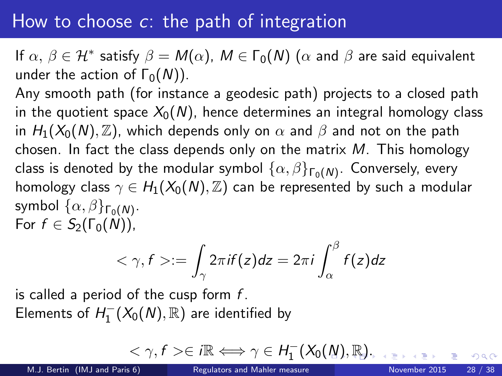## How to choose  $c$ : the path of integration

If  $\alpha,\,\beta\in\mathcal{H}^*$  satisfy  $\beta=M(\alpha),\ M\in\Gamma_0(\mathcal{N})$   $(\alpha$  and  $\beta$  are said equivalent under the action of  $\Gamma_0(N)$ ).

Any smooth path (for instance a geodesic path) projects to a closed path in the quotient space  $X_0(N)$ , hence determines an integral homology class in  $H_1(X_0(N), \mathbb{Z})$ , which depends only on  $\alpha$  and  $\beta$  and not on the path chosen. In fact the class depends only on the matrix  $M$ . This homology class is denoted by the modular symbol  $\{\alpha,\beta\}_{\mathsf{\Gamma}_0(\mathsf{N})}.$  Conversely, every homology class  $\gamma \in H_1(X_0(N), \mathbb{Z})$  can be represented by such a modular symbol  $\{\alpha,\beta\}_{\mathsf{\Gamma}_0(\mathsf{N})}.$ For  $f \in S_2(\Gamma_0(N))$ ,

$$
\langle \gamma, f \rangle := \int_{\gamma} 2\pi i f(z) dz = 2\pi i \int_{\alpha}^{\beta} f(z) dz
$$

is called a period of the cusp form  $f$ . Elements of  $H_1^-(X_0(N),\mathbb{R})$  are identified by

<span id="page-27-0"></span>
$$
\langle \gamma, f \rangle \in i\mathbb{R} \Longleftrightarrow \gamma \in H_1^-(X_0(\underline{N}), \underline{\mathbb{R}}).
$$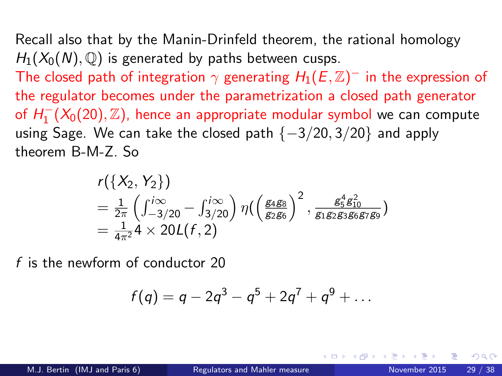Recall also that by the Manin-Drinfeld theorem, the rational homology  $H_1(X_0(N), \mathbb{Q})$  is generated by paths between cusps.

The closed path of integration  $\gamma$  generating  $H_1(E,\mathbb{Z})^+$  in the expression of the regulator becomes under the parametrization a closed path generator of  $H_1^-(X_0(20),\mathbb{Z})$ , hence an appropriate modular symbol we can compute using Sage. We can take the closed path  $\{-3/20, 3/20\}$  and apply theorem B-M-Z. So

$$
r({X_2, Y_2})
$$
  
=  $\frac{1}{2\pi} \left( \int_{-3/20}^{i\infty} - \int_{3/20}^{i\infty} \right) \eta \left( \frac{g_4 g_8}{g_2 g_6} \right)^2$ ,  $\frac{g_5^4 g_{10}^2}{g_1 g_2 g_3 g_6 g_7 g_9}$   
=  $\frac{1}{4\pi^2} 4 \times 20L(f, 2)$ 

f is the newform of conductor 20

<span id="page-28-0"></span>
$$
f(q) = q - 2q^3 - q^5 + 2q^7 + q^9 + \dots
$$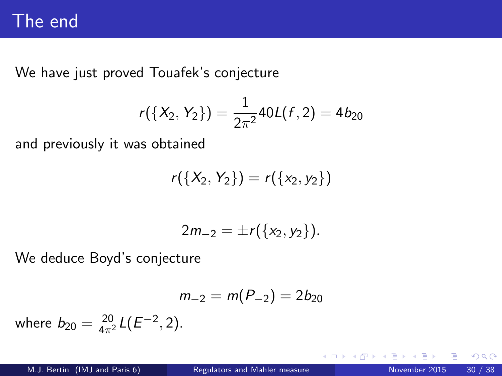# The end

We have just proved Touafek's conjecture

$$
r({X_2, Y_2}) = \frac{1}{2\pi^2}40L(f, 2) = 4b_{20}
$$

and previously it was obtained

$$
r({X_2, Y_2}) = r({x_2, y_2})
$$

$$
2m_{-2}=\pm r(\{x_2,y_2\}).
$$

We deduce Boyd's conjecture

$$
m_{-2}=m(P_{-2})=2b_{20}
$$

where  $b_{20} = \frac{20}{4\pi^2} L(E^{-2}, 2)$ .

 $\leftarrow$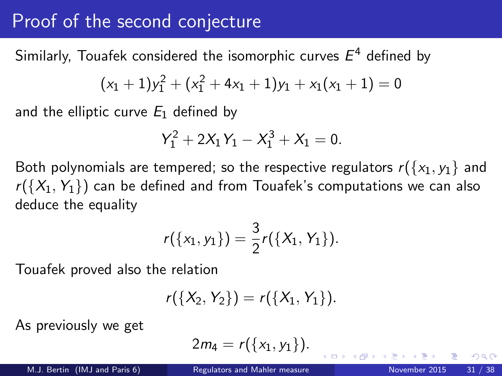## Proof of the second conjecture

Similarly, Touafek considered the isomorphic curves  $E^4$  defined by

$$
(x_1 + 1)y_1^2 + (x_1^2 + 4x_1 + 1)y_1 + x_1(x_1 + 1) = 0
$$

and the elliptic curve  $E_1$  defined by

$$
Y_1^2 + 2X_1Y_1 - X_1^3 + X_1 = 0.
$$

Both polynomials are tempered; so the respective regulators  $r({x_1, y_1}$  and  $r({X_1, Y_1})$  can be defined and from Touafek's computations we can also deduce the equality

$$
r({x_1,y_1})=\frac{3}{2}r({X_1,Y_1}).
$$

Touafek proved also the relation

$$
r({X_2, Y_2}) = r({X_1, Y_1}).
$$

As previously we get

$$
2m_4=r(\{x_1,y_1\}).
$$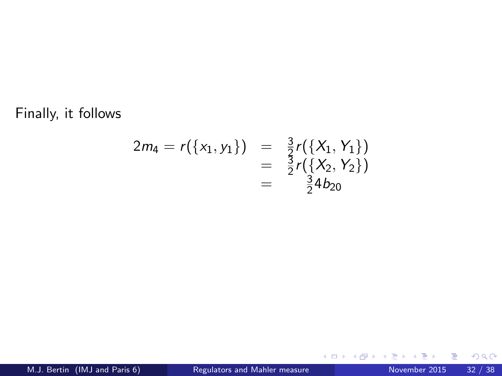Finally, it follows

$$
2m_4 = r({x_1, y_1}) = \frac{3}{2}r({X_1, Y_1})
$$
  
=  $\frac{3}{2}r({X_2, Y_2})$   
=  $\frac{3}{2}4b_{20}$ 

Þ

∍  $\sim$ ×

**K ロ ト K 伊 ト K** 

重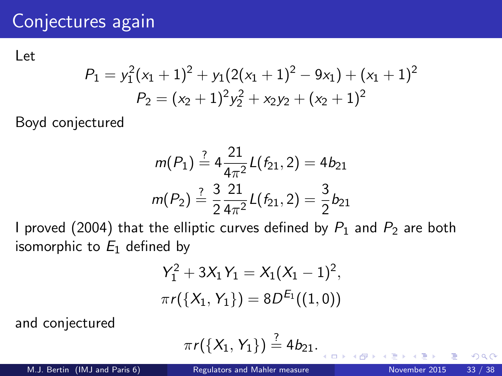Let

$$
P_1 = y_1^2(x_1 + 1)^2 + y_1(2(x_1 + 1)^2 - 9x_1) + (x_1 + 1)^2
$$
  

$$
P_2 = (x_2 + 1)^2y_2^2 + x_2y_2 + (x_2 + 1)^2
$$

Boyd conjectured

$$
m(P_1) \stackrel{?}{=} 4\frac{21}{4\pi^2}L(f_{21}, 2) = 4b_{21}
$$

$$
m(P_2) \stackrel{?}{=} \frac{3}{2}\frac{21}{4\pi^2}L(f_{21}, 2) = \frac{3}{2}b_{21}
$$

I proved (2004) that the elliptic curves defined by  $P_1$  and  $P_2$  are both isomorphic to  $E_1$  defined by

$$
Y_1^2 + 3X_1Y_1 = X_1(X_1 - 1)^2,
$$
  

$$
\pi r(\lbrace X_1, Y_1 \rbrace) = 8D^{E_1}((1, 0))
$$

and conjectured

$$
\pi r({X_1, Y_1}) \stackrel{?}{=} 4b_{21}.
$$

 $\leftarrow$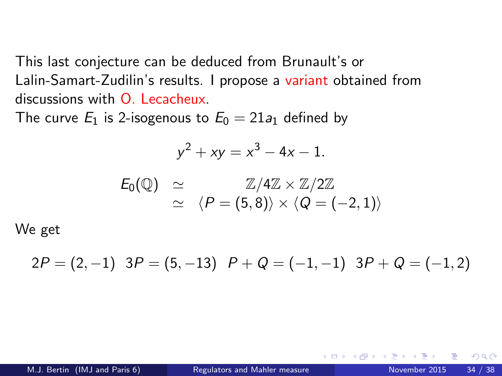This last conjecture can be deduced from Brunault's or Lalin-Samart-Zudilin's results. I propose a variant obtained from discussions with  $\Omega$  Lecacheux.

The curve  $E_1$  is 2-isogenous to  $E_0 = 21a_1$  defined by

$$
y^2 + xy = x^3 - 4x - 1.
$$

$$
E_0(\mathbb{Q}) \quad \simeq \quad \mathbb{Z}/4\mathbb{Z} \times \mathbb{Z}/2\mathbb{Z} \\ \quad \simeq \quad \langle P = (5,8) \rangle \times \langle Q = (-2,1) \rangle
$$

We get

$$
2P = (2,-1) \quad 3P = (5,-13) \quad P + Q = (-1,-1) \quad 3P + Q = (-1,2)
$$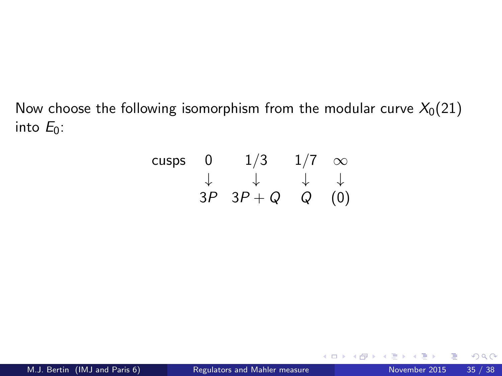Now choose the following isomorphism from the modular curve  $X_0(21)$ into  $E_0$ :

| cusps        | 0            | $1/3$        | $1/7$        | $\infty$ |
|--------------|--------------|--------------|--------------|----------|
| $\downarrow$ | $\downarrow$ | $\downarrow$ | $\downarrow$ |          |
| 3P           | $3P + Q$     | $Q$          | $(0)$        |          |

4 0 8

 $\rightarrow$ 

э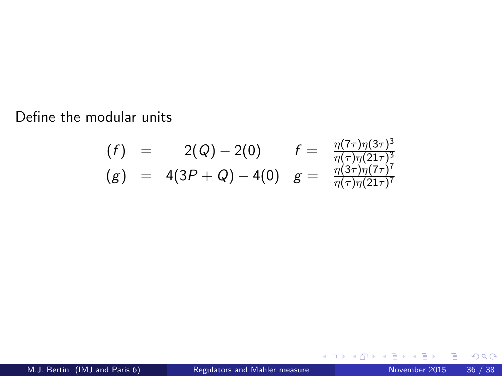Define the modular units

$$
\begin{array}{rcl}\n(f) & = & 2(Q) - 2(0) & f = & \frac{\eta(7\tau)\eta(3\tau)^3}{\eta(\tau)\eta(21\tau)^3} \\
(g) & = & 4(3P + Q) - 4(0) & g = & \frac{\eta(3\tau)\eta(7\tau)^7}{\eta(\tau)\eta(21\tau)^7}\n\end{array}
$$

<span id="page-35-0"></span>活

**4 ロ ▶ 4 母 ▶ 4** 

э  $\sim$  $-4$ ≃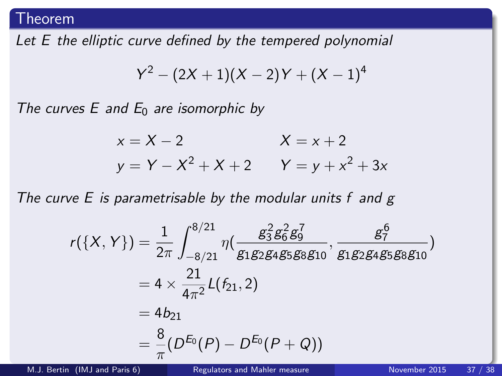#### Theorem

Let E the elliptic curve defined by the tempered polynomial

$$
Y^2 - (2X + 1)(X - 2)Y + (X - 1)^4
$$

The curves E and  $E_0$  are isomorphic by

$$
x = X - 2
$$
  
\n
$$
y = Y - X2 + X + 2
$$
  
\n
$$
X = x + 2
$$
  
\n
$$
Y = y + x2 + 3x
$$

The curve  $E$  is parametrisable by the modular units  $f$  and  $g$ 

$$
r({X, Y}) = \frac{1}{2\pi} \int_{-8/21}^{8/21} \eta \left( \frac{g_3^2 g_6^2 g_9^7}{g_1 g_2 g_4 g_5 g_8 g_{10}}, \frac{g_7^6}{g_1 g_2 g_4 g_5 g_8 g_{10}} \right)
$$
  
=  $4 \times \frac{21}{4\pi^2} L(f_{21}, 2)$   
=  $4b_{21}$   
=  $\frac{8}{\pi} (D^{E_0}(P) - D^{E_0}(P + Q))$ 

M.J. Bertin (IMJ and Paris 6) [Regulators and Mahler measure](#page-0-0) November 2015 37 / 38